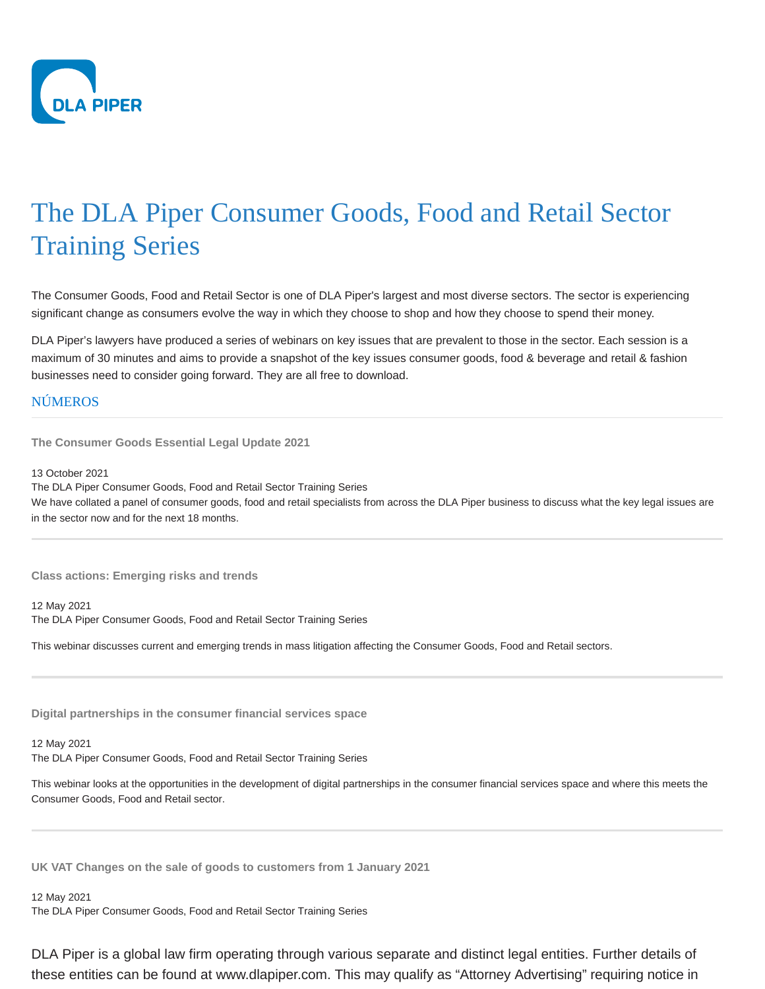

## The DLA Piper Consumer Goods, Food and Retail Sector Training Series

The Consumer Goods, Food and Retail Sector is one of DLA Piper's largest and most diverse sectors. The sector is experiencing significant change as consumers evolve the way in which they choose to shop and how they choose to spend their money.

DLA Piper's lawyers have produced a series of webinars on key issues that are prevalent to those in the sector. Each session is a maximum of 30 minutes and aims to provide a snapshot of the key issues consumer goods, food & beverage and retail & fashion businesses need to consider going forward. They are all free to download.

## **NÚMEROS**

**The Consumer Goods Essential Legal Update 2021**

13 October 2021

The DLA Piper Consumer Goods, Food and Retail Sector Training Series We have collated a panel of consumer goods, food and retail specialists from across the DLA Piper business to discuss what the key legal issues are in the sector now and for the next 18 months.

**Class actions: Emerging risks and trends**

12 May 2021 The DLA Piper Consumer Goods, Food and Retail Sector Training Series

This webinar discusses current and emerging trends in mass litigation affecting the Consumer Goods, Food and Retail sectors.

**Digital partnerships in the consumer financial services space**

## 12 May 2021

The DLA Piper Consumer Goods, Food and Retail Sector Training Series

This webinar looks at the opportunities in the development of digital partnerships in the consumer financial services space and where this meets the Consumer Goods, Food and Retail sector.

**UK VAT Changes on the sale of goods to customers from 1 January 2021**

## 12 May 2021

The DLA Piper Consumer Goods, Food and Retail Sector Training Series

DLA Piper is a global law firm operating through various separate and distinct legal entities. Further details of these entities can be found at www.dlapiper.com. This may qualify as "Attorney Advertising" requiring notice in